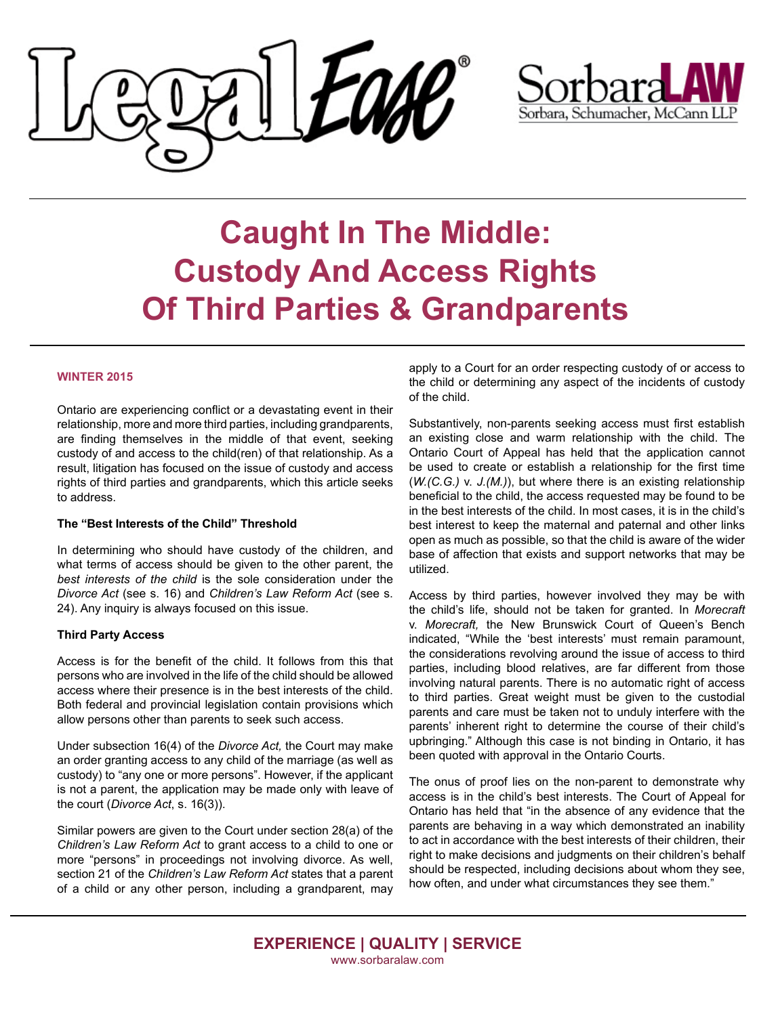



# **Caught In The Middle: When a doctor makes a mistake**  $C$  *reproducements* **Of Third Parties & Grandparents** practitioner failed to do something that he or she ought to **Custody And Access Rights**

### professionals take great pride in helping people during some **WINTER 2015**  $\overline{\phantom{a}}$  and  $\overline{\phantom{a}}$  most different times. However, we can forget that for get that for get that  $\overline{\phantom{a}}$

Ontario are experiencing conflict or a devastating event in their relationship, more and more third parties, including grandparents, are finding themselves in the middle of that event, seeking result, litigation has focused on the issue of custody and access rights of third parties and grandparents, which this article seeks  $\overline{t}$  remedy is a lawsuit at compensation  $\overline{t}$  and  $\overline{t}$  and  $\overline{t}$  and  $\overline{t}$  and  $\overline{t}$  and  $\overline{t}$  and  $\overline{t}$  and  $\overline{t}$  and  $\overline{t}$  and  $\overline{t}$  and  $\overline{t}$  and  $\overline{t}$  and  $\overline{t}$  and  $\overline{t}$ custody of and access to the child(ren) of that relationship. As a

## **The "Best Interests of the Child" Threshold**

In determining who should have custody of the children, and what terms of access should be given to the other parent, the best interests of the child is the sole consideration under the Divorce Act (see s. 16) and *Children's Law Reform Act* (see s.  $\frac{1}{24}$ . Any inquiry is always focused on this issue. 24). Any inquiry is always focused on this issue.

#### **What do I have to prove the property Third Party Access**

persons who are involved in the life of the child should be allowed access where their presence is in the best interests of the child. Both federal and provincial legislation contain provisions which allow persons other than parents to seek such access. Access is for the benefit of the child. It follows from this that

Under subsection 16(4) of the *Divorce Act*, the Court may make an order granting access to any child of the marriage (as well as is not a parent, the application may be made only with leave of the court (*Divorce Act*, s. 16(3)). retain medical experts who, along with the lawyers, review the custody) to "any one or more persons". However, if the applicant

Similar powers are given to the Court under section 28(a) of the Children's Law Reform Act to grant access to a child to one or section 21 of the *Children's Law Reform Act* states that a parent level of care that a medical practitioner is required to deliver. of a child or any other person, including a grandparent, may more "persons" in proceedings not involving divorce. As well,

apply to a Court for an order respecting custody of or access to the child or determining any aspect of the incidents of custody of the child. The state action to the child action to the child.

have done, or did something that he or she ought not to have

Substantively, non-parents seeking access must first establish an existing close and warm relationship with the child. The be used to create or establish a relationship for the first time (W.(C.G.) v. J.(M.)), but where there is an existing relationship beneficial to the child, the access requested may be found to be in the best interests of the child. In most cases, it is in the child's ministic a medical condition is condition in the condition is best interest to keep the maternal and paternal and other links best interest to neep the material and paterial and ether mine<br>open as much as possible, so that the child is aware of the wider port do maon do pocololo, oo mat mo onlid to award or mo wider base of affection that exists and support networks that may be<br>utilized  $m_{\rm E}$  and  $n_{\rm E}$  and  $n_{\rm E}$  are achieved. A breached. A breach of the theorem  $r_{\rm E}$ Ontario Court of Appeal has held that the application cannot utilized.

Access by third parties, however involved they may be with Access by and parties, nowever involved they may be with the child's life, should not be taken for granted. In *Morecraft* v. Morecraft, the New Brunswick Court of Queen's Bench indicated, "While the 'best interests' must remain paramount, the considerations revolving around the issue of access to third parties, including blood relatives, are far different from those involving natural parents. There is no automatic right of access to third parties. Great weight must be given to the custodial parents and care must be taken not to unduly interfere with the parents and care must be taken not to unduly interfere with the<br>parents' inherent right to determine the course of their child's been quoted with approval in the Ontario Courts. upbringing." Although this case is not binding in Ontario, it has

The onus of proof lies on the non-parent to demonstrate why access is in the child's best interests. The Court of Appeal for Ontario has held that "in the absence of any evidence that the parents are behaving in a way which demonstrated an inability to act in accordance with the best interests of their children, their right to make decisions and judgments on their children's behalf should be respected, including decisions about whom they see, should be respected, including decisions about whom they see,<br>how often, and under what circumstances they see them."

**EXPERIENCE | QUALITY | SERVICE** www.sorbaralaw.com